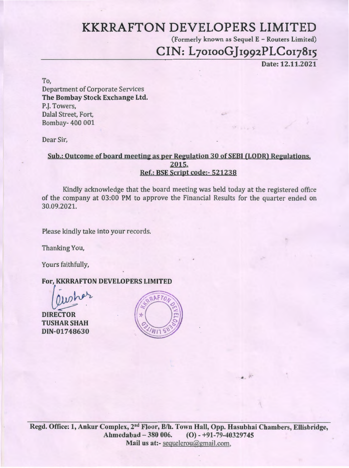# **KKRRAFTON DEVELOPERS LIMITED**

(Formerly known as Sequel E - Routers Limited)

 $\mathbf{z}$  :

# CIN: L70100GJ1992PLC017815

Date: 12.11.2021

To, Department of Corporate Services The Bombay Stock Exchange Ltd. P.J. Towers, Dalal Street, Fort, Bombay- 400 001

Dear Sir,

### Sub.: Outcome of board meeting as per Regulation 30 of SEBI (LODR) Regulations. 2015. Ref.: BSE Script code:- 521238

Kindly acknowledge that the board meeting was held today at the registered office of the company at 03:00 PM to approve the Financial Results for the quarter ended on 30.09.2021.

Please kindly take into your records.

Thanking You,

Yours faithfully,

TUSHARSHAH DIN-01748630

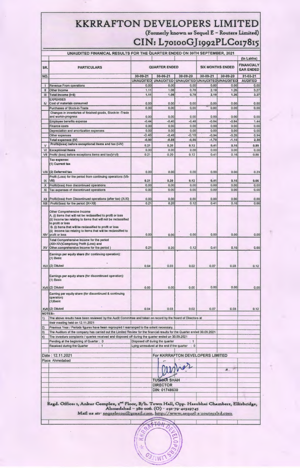# **KKRRAFTON DEVELOPERS LIMITED**

(Formerly known as Sequel E – Routers Limited)

 $\overline{\Omega}$ 

## **CIN: L7orooGj t99zPLCot7815**

| UNAUDITED FINANICAL RESULTS FOR THE QUARTER ENDED ON 30TH SEPTEMBER, 2021 |                                                                                                                                                                                                                                                                                                                                    |                  |                                                                               |                                  |                            |                 |                                                     |
|---------------------------------------------------------------------------|------------------------------------------------------------------------------------------------------------------------------------------------------------------------------------------------------------------------------------------------------------------------------------------------------------------------------------|------------------|-------------------------------------------------------------------------------|----------------------------------|----------------------------|-----------------|-----------------------------------------------------|
| SR.                                                                       | <b>PARTICULARS</b>                                                                                                                                                                                                                                                                                                                 |                  | <b>QUARTER ENDED</b>                                                          |                                  | <b>SIX MONTHS ENDED</b>    |                 | (In Lakhs)<br><b>FINANCIALY</b><br><b>EAR ENDED</b> |
| NO.                                                                       |                                                                                                                                                                                                                                                                                                                                    | 30-09-21         | 30-06-21                                                                      | 30-09-20                         | 30-09-21                   | 30-09-20        | 31-03-21                                            |
|                                                                           |                                                                                                                                                                                                                                                                                                                                    | <b>UNAUDITED</b> | <b>UNAUDITED</b>                                                              | <b>UNAUDITED</b>                 | <b>UNAUDITED UNAUDITED</b> |                 | <b>AUDITED</b>                                      |
| $\mathbf{I}$                                                              | Revenue From operations                                                                                                                                                                                                                                                                                                            | 0,00             | 0.00                                                                          | 0.00                             | 0.00                       | 0,00            | 0.00                                                |
| Ⅱ                                                                         | Other Income                                                                                                                                                                                                                                                                                                                       | 1.11             | 1.08                                                                          | 0.78                             | 2.19                       | 1.26            | 3.27                                                |
| III                                                                       | Total Income (I+II)                                                                                                                                                                                                                                                                                                                | 1,11             | 1.08                                                                          | 0.78                             | 2,19                       | 1,26            | 3.27                                                |
| IV.                                                                       | <b>EXPENSES</b><br>Cost of materials consumed                                                                                                                                                                                                                                                                                      | 0.00             | 0.00                                                                          | 0.00                             | 0.00                       | 0.00            | 0.00                                                |
|                                                                           | Purchases of Stock-in-Trade                                                                                                                                                                                                                                                                                                        | 0.00             | 0.00                                                                          | 0.00<br>$\epsilon$               | 0.00                       | 0.00            | 0.00                                                |
|                                                                           | Changes in inventories of finished goods, Stock-in -Trade                                                                                                                                                                                                                                                                          |                  |                                                                               |                                  |                            |                 |                                                     |
|                                                                           | and workin-progress                                                                                                                                                                                                                                                                                                                | 0.00             | 0.00                                                                          | 0.00                             | 0.00                       | 0.00            | 0.00                                                |
|                                                                           | Employee benefits expense<br><b>Finance costs</b>                                                                                                                                                                                                                                                                                  | $-0.44$<br>0.00  | $-0.40$<br>0.00                                                               | $-0.48$<br>0.00                  | $-0.84$<br>0.00            | $-0.84$<br>0.00 | 1.44<br>0.00                                        |
|                                                                           | Depreciation and amortization expenses                                                                                                                                                                                                                                                                                             | 0.00             | 0.00                                                                          | 0.00                             | 0.00                       | 0.00            | 0.00                                                |
|                                                                           | Other expenses                                                                                                                                                                                                                                                                                                                     | $-0.46$          | $-0.48$                                                                       | $-0.18$                          | $-0.94$                    | $-0.26$         | 0.94                                                |
|                                                                           | <b>Total expenses (IV)</b>                                                                                                                                                                                                                                                                                                         | $-0.90$          | $-0.88$                                                                       | $-0.66$                          | $-1.78$                    | $-1.10$         | 2.38                                                |
| $\vee$                                                                    | Profit/(loss) before exceptional items and tax (I-IV)                                                                                                                                                                                                                                                                              | 0,21             | 0, 20                                                                         | 0,12                             | 0.41                       | 0.16            | 0.89                                                |
| VI                                                                        | <b>Exceptional Items</b>                                                                                                                                                                                                                                                                                                           | 0.00             | 0.00                                                                          | 0.00                             | 0.00                       | 0.00            | 0.00                                                |
| VII                                                                       | Profit/ (loss) before exceptions items and tax(V-VI)                                                                                                                                                                                                                                                                               | 0.21             | 0.20                                                                          | 0.12                             | 0.41                       | 0.16            | 0.89                                                |
|                                                                           | Tax expense:<br>(1) Current tax                                                                                                                                                                                                                                                                                                    |                  |                                                                               |                                  |                            |                 |                                                     |
| VIII                                                                      | (2) Deferred tax                                                                                                                                                                                                                                                                                                                   | 0.00             | 0.00                                                                          | 0.00                             | 0.00                       | 0.00            | 0.23                                                |
|                                                                           | Profit (Loss) for the period from continuing operations (VII-                                                                                                                                                                                                                                                                      |                  |                                                                               |                                  |                            |                 |                                                     |
| IX                                                                        | VIII)                                                                                                                                                                                                                                                                                                                              | 0.21             | 0.20<br>0.00                                                                  | 0.12<br>0.00                     | 0.41<br>0,00               | 0.16<br>0.00    | 0.66                                                |
| X<br>XI                                                                   | Profit/(loss) from discontinued operations<br>Tax expenses of discontinued operations                                                                                                                                                                                                                                              | 0.00<br>0.00     | 0.00                                                                          | 0.00                             | 0.00                       | 0.00            | 0.00<br>0.00                                        |
|                                                                           |                                                                                                                                                                                                                                                                                                                                    |                  |                                                                               |                                  |                            |                 |                                                     |
| XII                                                                       | Profit/(loss) from Discontinued operations (after tax) (X-XI)                                                                                                                                                                                                                                                                      | 0.00             | 0.00                                                                          | 0.00                             | 0.00                       | 0.00            | 0.00                                                |
| XIII                                                                      | Profit/(loss) for the period (IX+XII)                                                                                                                                                                                                                                                                                              | 0.21             | 0.20                                                                          | 0.12                             | 0.41                       | 0.16            | 0.66                                                |
| XIV                                                                       | Other Comprehensive Income<br>A. (i) Items that will not be reclassified to profit or loss<br>(ii) Income tax relating to items that will not be reclassified<br>to profit or loss<br>B. (i) items that will be reclassified to profit or loss<br>(ii) Income tax relating to items that will be reclassified to<br>profit or loss | 0.00             | 0.00                                                                          | 0.00                             | 0.00                       | 0,00            | 0.00                                                |
| <b>XV</b>                                                                 | Total Comprehensive Income for the period<br>(XIII+XIV)Comprising Profit (Loss) and<br>Other.comprehensive Income for the period)                                                                                                                                                                                                  | 0.21             | 0.20                                                                          | 0,12                             | 0.41                       | 0.16            | 0.66                                                |
|                                                                           | Earnings per equity share (for continuing operation):<br>$(1)$ Basic                                                                                                                                                                                                                                                               |                  |                                                                               |                                  |                            |                 |                                                     |
| XVI                                                                       | (2) Diluted                                                                                                                                                                                                                                                                                                                        | 0.04             | 0.03                                                                          | 0.02                             | 0.07                       | 0.03            | 0.12                                                |
|                                                                           | Earnings per equity share (for discontinued operation):<br>(1) Basic                                                                                                                                                                                                                                                               |                  |                                                                               |                                  |                            |                 |                                                     |
|                                                                           | XVII (2) Diluted                                                                                                                                                                                                                                                                                                                   | 0.00             | 0.00                                                                          | 0.00                             | 0.00                       | 0.00            | 0.00                                                |
|                                                                           | Earning per equity share (for discontinued & continuing<br>operation)<br>$(1)$ Basic                                                                                                                                                                                                                                               |                  |                                                                               |                                  |                            |                 |                                                     |
|                                                                           | XVII (2) Diluted                                                                                                                                                                                                                                                                                                                   | 0.04             | 0.03                                                                          | 0.02                             | 0.07                       | 0.03            | 0,12                                                |
| NOTES:-                                                                   |                                                                                                                                                                                                                                                                                                                                    |                  |                                                                               |                                  |                            |                 |                                                     |
| $ 1\rangle$                                                               | The above results have been reviewed by the Audit Committee and taken on record by the Board of Directors at<br>their meeting held on 12.11.2021                                                                                                                                                                                   |                  |                                                                               |                                  |                            |                 |                                                     |
| $ 2\rangle$                                                               | Previous Year / Periods figures have been regrouped / rearranged to the extent necessary.                                                                                                                                                                                                                                          |                  |                                                                               |                                  |                            |                 |                                                     |
| $ 3\rangle$                                                               | The Auditors of the company has carried out the Limited Review for the financial results for the Quarter ended 30.09.2021                                                                                                                                                                                                          |                  |                                                                               |                                  |                            |                 |                                                     |
| $ 4\rangle$                                                               | The investors complaints / queries received and disposed off during the quarter ended on 30.09.2021                                                                                                                                                                                                                                |                  |                                                                               |                                  |                            |                 |                                                     |
|                                                                           | Pending at the beginning of Quarter : 0<br>Received during the Quarter<br>$\div$ 1                                                                                                                                                                                                                                                 |                  | Disposed off during the quarter<br>Lying unresolved at the end if the quarter | : 1<br>$\therefore$ 0            |                            |                 |                                                     |
|                                                                           | Date: 12.11.2021                                                                                                                                                                                                                                                                                                                   |                  |                                                                               | For KKRRAFTON DEVELOPERS LIMITED |                            |                 |                                                     |
|                                                                           | Place: Ahmedabad                                                                                                                                                                                                                                                                                                                   |                  |                                                                               |                                  |                            |                 |                                                     |
|                                                                           |                                                                                                                                                                                                                                                                                                                                    |                  |                                                                               |                                  |                            |                 |                                                     |
|                                                                           |                                                                                                                                                                                                                                                                                                                                    |                  |                                                                               |                                  |                            | R.              |                                                     |
|                                                                           |                                                                                                                                                                                                                                                                                                                                    |                  |                                                                               |                                  |                            |                 |                                                     |
|                                                                           |                                                                                                                                                                                                                                                                                                                                    |                  | <b>TUSHAR SHAH</b>                                                            |                                  |                            |                 |                                                     |
|                                                                           |                                                                                                                                                                                                                                                                                                                                    |                  | <b>DIRECTOR</b>                                                               |                                  |                            |                 |                                                     |
|                                                                           |                                                                                                                                                                                                                                                                                                                                    |                  | DIN: 01748630                                                                 |                                  |                            |                 |                                                     |
|                                                                           |                                                                                                                                                                                                                                                                                                                                    |                  |                                                                               |                                  |                            |                 |                                                     |
|                                                                           | Regd. Office: 1, Ankur Complex, 2 <sup>nd</sup> Ploor, B/h. Town Hall, Opp. Hasubhai Chambers, Ellisbridge,<br>Ahmedabad - 380 006. (O) - +91-79-40329745<br>Mail us att-sequelerou@gmail.com, http://www.sequel-e-routersitd.com                                                                                                  |                  |                                                                               |                                  |                            |                 |                                                     |
|                                                                           |                                                                                                                                                                                                                                                                                                                                    |                  |                                                                               |                                  |                            |                 |                                                     |
|                                                                           |                                                                                                                                                                                                                                                                                                                                    |                  |                                                                               |                                  |                            |                 |                                                     |

**CELIWIT**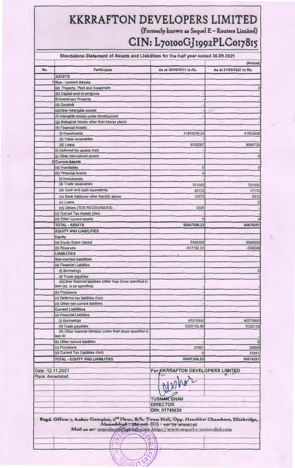## **KKRRAFTON DEVELOPERS LIMITED**  (Formerly known as Sequel E - Routers Limited)

# **CIN: L7orooGjrggzPLCor78r5**

|                  | Standalone Statement of Assets and Liabilities for the half year ended 30.09.2021                                                                                                                                              |                                  |                                     |
|------------------|--------------------------------------------------------------------------------------------------------------------------------------------------------------------------------------------------------------------------------|----------------------------------|-------------------------------------|
| No.              | <b>Particulars</b>                                                                                                                                                                                                             | As at 30/09/2021 in Rs.          | (Actual)<br>As at 31/03/2021 in Rs. |
|                  | <b>ASSETS</b>                                                                                                                                                                                                                  |                                  |                                     |
| 1                | <b>Non - current Assets</b>                                                                                                                                                                                                    |                                  |                                     |
|                  | (a) Property, Plant and Equipment                                                                                                                                                                                              |                                  | 0                                   |
|                  | (b) Capital work-in-progress                                                                                                                                                                                                   |                                  |                                     |
|                  | C Investment Property                                                                                                                                                                                                          |                                  |                                     |
|                  | (d) Goodwill                                                                                                                                                                                                                   |                                  |                                     |
|                  | (e) Other Intangible assets                                                                                                                                                                                                    |                                  | $\sqrt{2}$                          |
|                  | (f) Intangible assets under development                                                                                                                                                                                        |                                  |                                     |
|                  | (g) Biological Assets other than bearer plants                                                                                                                                                                                 |                                  |                                     |
|                  | (h) Financial Assets:                                                                                                                                                                                                          |                                  |                                     |
|                  | (i) Investments                                                                                                                                                                                                                | 41853039.23                      | 41853039                            |
|                  | (ii) Trade receivables<br>(iii) Loans                                                                                                                                                                                          | 8102097                          | 8095728                             |
|                  | (i) Deferred tax assets (net)                                                                                                                                                                                                  |                                  |                                     |
|                  | (j) Other non-current assets                                                                                                                                                                                                   |                                  | $\mathbf{0}$                        |
| $\overline{2}$   | <b>Current Assets</b>                                                                                                                                                                                                          |                                  |                                     |
|                  | (a) Inventories                                                                                                                                                                                                                | $\mathbf 0$                      | 0                                   |
|                  | (b) Financial Assets                                                                                                                                                                                                           | $\bf{0}$                         |                                     |
|                  | (i) Investments                                                                                                                                                                                                                |                                  |                                     |
|                  | (ii) Trade receivables                                                                                                                                                                                                         | 701000                           | 701000                              |
|                  | (iii) Cash and cash equivalents                                                                                                                                                                                                | 26172                            | 17172                               |
|                  | (iv) Bank balances other than(iii) above                                                                                                                                                                                       | 12975                            | 9312                                |
|                  | (v) Loans                                                                                                                                                                                                                      |                                  |                                     |
|                  | (vi) Others (TDS RECEIVABLES)                                                                                                                                                                                                  | 2025                             |                                     |
|                  | (c) Current Tax Assets (Net)                                                                                                                                                                                                   |                                  |                                     |
|                  | (d) Other current assets                                                                                                                                                                                                       | $\bf{0}$                         |                                     |
|                  | <b>TOTAL - ASSETS</b>                                                                                                                                                                                                          | 50697308.23                      | 50676251                            |
|                  | <b>EQUITY AND LIABILITIES</b>                                                                                                                                                                                                  |                                  |                                     |
|                  | <b>Equity</b>                                                                                                                                                                                                                  |                                  |                                     |
|                  | (a) Equity Share capital                                                                                                                                                                                                       | 5596000                          | 5596000                             |
|                  | (b) Reserves                                                                                                                                                                                                                   | $-517192.23$                     | $-558249$                           |
|                  | <b>LIABILITIES</b>                                                                                                                                                                                                             |                                  |                                     |
|                  | <b>Non-current liabilities</b>                                                                                                                                                                                                 |                                  |                                     |
|                  | (a) Financial Liabilities                                                                                                                                                                                                      |                                  |                                     |
|                  | (i) Borrowings                                                                                                                                                                                                                 |                                  | 0                                   |
|                  | (ii) Trade payables<br>(iii)Other financial liabilities (other than those specified in                                                                                                                                         | $\epsilon$                       |                                     |
|                  | item (b), to be specified)                                                                                                                                                                                                     |                                  |                                     |
|                  | (b) Provisions                                                                                                                                                                                                                 |                                  |                                     |
|                  | (c) Deferred tax liabilities (Net)                                                                                                                                                                                             |                                  |                                     |
|                  | (d) Other non-current liabilities                                                                                                                                                                                              |                                  |                                     |
|                  | <b>Current Liabilities</b>                                                                                                                                                                                                     |                                  |                                     |
|                  | (a) Financial Liabilities                                                                                                                                                                                                      |                                  |                                     |
|                  | (i) Borrowings                                                                                                                                                                                                                 | 40275000                         | 40275000                            |
|                  | (ii) Trade payables                                                                                                                                                                                                            | 5320139.46                       | 5320139                             |
|                  | (iii) Other financial liabilities (other than those specified in                                                                                                                                                               |                                  |                                     |
|                  | item ©                                                                                                                                                                                                                         |                                  |                                     |
|                  | (b) Other current liabilities                                                                                                                                                                                                  |                                  | $\overline{0}$                      |
|                  | (c) Provisions<br>(d) Current Tax Liabilities (Net)                                                                                                                                                                            | 23361                            | 20000                               |
|                  | <b>TOTAL - EQUITY AND LIABILITIES</b>                                                                                                                                                                                          | $\Omega$                         | 23361<br>50676251                   |
|                  |                                                                                                                                                                                                                                | 50697308.23                      |                                     |
| Date: 12.11.2021 |                                                                                                                                                                                                                                | For KKRRAFTON DEVELOPERS LIMITED |                                     |
| Place: Ahmedabad |                                                                                                                                                                                                                                |                                  |                                     |
|                  |                                                                                                                                                                                                                                | M                                |                                     |
|                  |                                                                                                                                                                                                                                |                                  |                                     |
|                  |                                                                                                                                                                                                                                |                                  |                                     |
|                  |                                                                                                                                                                                                                                | <b>TUSHAR SHAH</b>               |                                     |
|                  |                                                                                                                                                                                                                                | <b>DIRECTOR</b>                  |                                     |
|                  |                                                                                                                                                                                                                                | DIN: 01748630                    |                                     |
|                  | Ragd. Offices 1, Ankur Complex, 2 <sup>0d</sup> Floor, B/h. Town Hall, Opp. Hasubhai Chambers, Elliabridge,<br>Ahmadabad 180 006. (O) - +91-79-40319745<br>Mail us atr sequelerous unal com http://www.sequel-e-routersitd.com |                                  |                                     |
|                  |                                                                                                                                                                                                                                |                                  |                                     |
|                  |                                                                                                                                                                                                                                |                                  |                                     |
|                  |                                                                                                                                                                                                                                | $\mathbf{R}$                     |                                     |